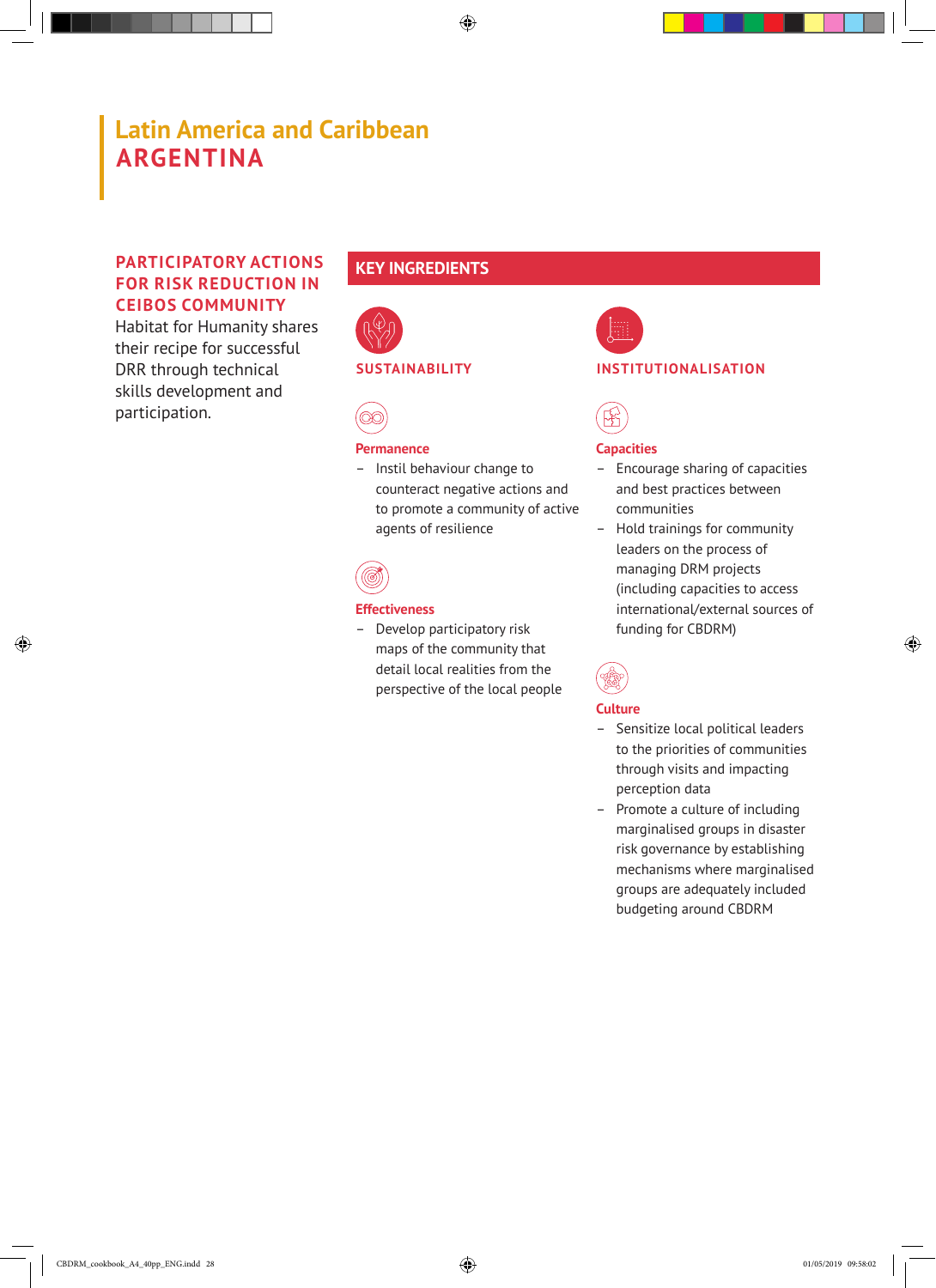# **Latin America and Caribbean ARGENTINA**

### **PARTICIPATORY ACTIONS FOR RISK REDUCTION IN CEIBOS COMMUNITY**

Habitat for Humanity shares their recipe for successful DRR through technical skills development and participation.

## **KEY INGREDIENTS**



#### **SUSTAINABILITY**



#### **Permanence**

– Instil behaviour change to counteract negative actions and to promote a community of active agents of resilience



#### **Effectiveness**

– Develop participatory risk maps of the community that detail local realities from the perspective of the local people



#### **INSTITUTIONALISATION**



#### **Capacities**

- Encourage sharing of capacities and best practices between communities
- Hold trainings for community leaders on the process of managing DRM projects (including capacities to access international/external sources of funding for CBDRM)



#### **Culture**

- Sensitize local political leaders to the priorities of communities through visits and impacting perception data
- Promote a culture of including marginalised groups in disaster risk governance by establishing mechanisms where marginalised groups are adequately included budgeting around CBDRM